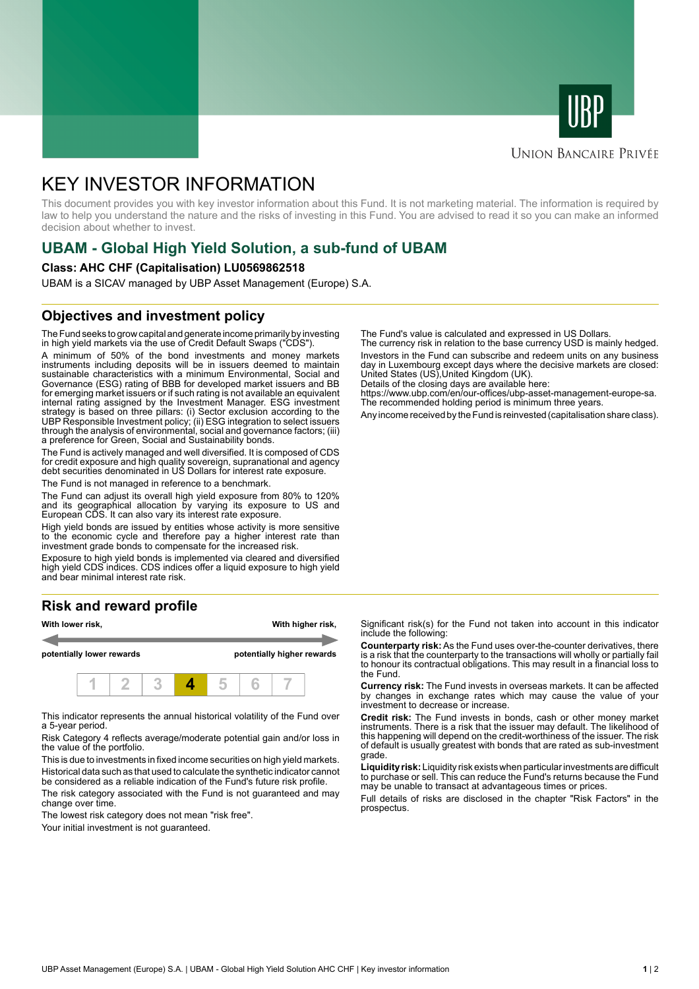



## **UNION BANCAIRE PRIVÉE**

# KEY INVESTOR INFORMATION

This document provides you with key investor information about this Fund. It is not marketing material. The information is required by law to help you understand the nature and the risks of investing in this Fund. You are advised to read it so you can make an informed decision about whether to invest.

# **UBAM - Global High Yield Solution, a sub-fund of UBAM**

#### **Class: AHC CHF (Capitalisation) LU0569862518**

UBAM is a SICAV managed by UBP Asset Management (Europe) S.A.

# **Objectives and investment policy**

The Fund seeks to grow capital and generate income primarily by investing in high yield markets via the use of Credit Default Swaps ("CDS").

A minimum of 50% of the bond investments and money markets instruments including deposits will be in issuers deemed to maintain sustainable characteristics with a minimum Environmental, Social and Governance (ESG) rating of BBB for developed market issuers and BB for emerging market issuers or if such rating is not available an equivalent internal rating assigned by the Investment Manager. ESG investment strategy is based on three pillars: (i) Sector exclusion according to the UBP Responsible Investment policy; (ii) ESG integration to select issuers through the analysis of environmental, social and governance factors; (iii) a preference for Green, Social and Sustainability bonds.

The Fund is actively managed and well diversified. It is composed of CDS for credit exposure and high quality sovereign, supranational and agency debt securities denominated in US Dollars for interest rate exposure.

The Fund is not managed in reference to a benchmark.

The Fund can adjust its overall high yield exposure from 80% to 120% and its geographical allocation by varying its exposure to US and European CDS. It can also vary its interest rate exposure.

High yield bonds are issued by entities whose activity is more sensitive to the economic cycle and therefore pay a higher interest rate than investment grade bonds to compensate for the increased risk.

Exposure to high yield bonds is implemented via cleared and diversified high yield CDS indices. CDS indices offer a liquid exposure to high yield and bear minimal interest rate risk.

# **Risk and reward profile**



This indicator represents the annual historical volatility of the Fund over a 5-year period.

Risk Category 4 reflects average/moderate potential gain and/or loss in the value of the portfolio.

This is due to investments in fixed income securities on high yield markets. Historical data such as that used to calculate the synthetic indicator cannot be considered as a reliable indication of the Fund's future risk profile. The risk category associated with the Fund is not guaranteed and may

change over time.

The lowest risk category does not mean "risk free".

Your initial investment is not guaranteed.

The Fund's value is calculated and expressed in US Dollars.

The currency risk in relation to the base currency USD is mainly hedged. Investors in the Fund can subscribe and redeem units on any business day in Luxembourg except days where the decisive markets are closed: United States (US),United Kingdom (UK).

Details of the closing days are available here:

https://www.ubp.com/en/our-offices/ubp-asset-management-europe-sa. The recommended holding period is minimum three years.

Any income received by the Fund is reinvested (capitalisation share class).

Significant risk(s) for the Fund not taken into account in this indicator include the following:

**Counterparty risk:** As the Fund uses over-the-counter derivatives, there is a risk that the counterparty to the transactions will wholly or partially fail to honour its contractual obligations. This may result in a financial loss to the Fund.

**Currency risk:** The Fund invests in overseas markets. It can be affected by changes in exchange rates which may cause the value of your investment to decrease or increase.

**Credit risk:** The Fund invests in bonds, cash or other money market instruments. There is a risk that the issuer may default. The likelihood of this happening will depend on the credit-worthiness of the issuer. The risk of default is usually greatest with bonds that are rated as sub-investment grade.

**Liquidity risk:** Liquidity risk exists when particular investments are difficult to purchase or sell. This can reduce the Fund's returns because the Fund may be unable to transact at advantageous times or prices.

Full details of risks are disclosed in the chapter "Risk Factors" in the prospectus.